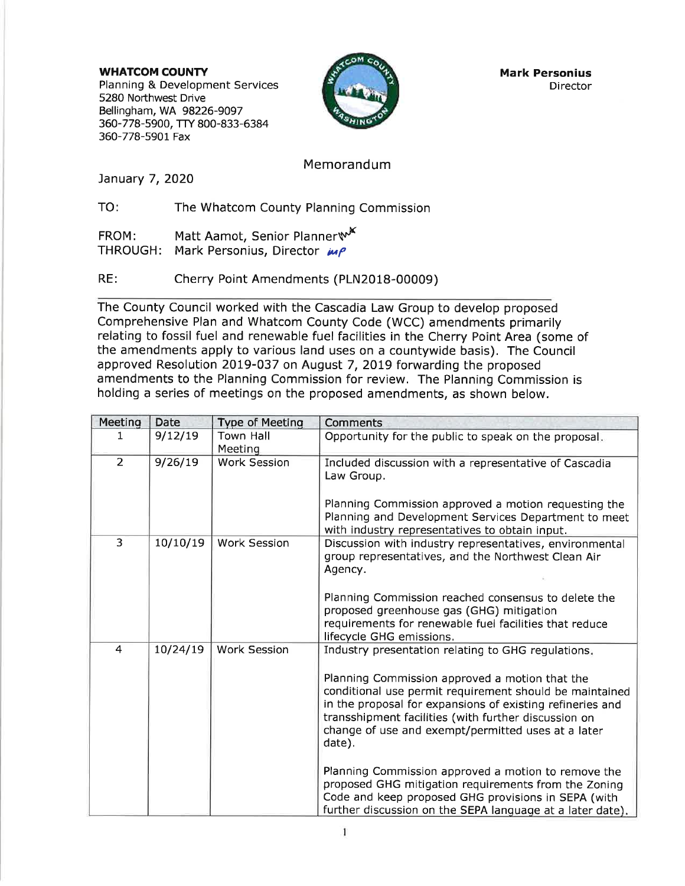WHATCOM COUNTY Planning & Development Services 5280 Northwest Drive Bellingham, WA 98226-9097 360-778-5900, TTY 800-833-6384 360-778-5901 Fax



Mark Personius **Director** 

### Memorandum

January 7, 2020

TO: The Whatcom County Planning Commission

FROM: Matt Aamot, Senior Planner w<sup>K</sup><br>THROUGH: Mark Personius, Director *in P* Mark Personius, Director  $\mu$ 

RE: Cherry Point Amendments (PLN2018-00009)

The County Council worked with the Cascadia Law Group to develop proposed Comprehensive Plan and Whatcom County Code (WCC) amendments primarily relating to fossil fuel and renewable fuel facilities in the Cherry Point Area (some of the amendments apply to various land uses on a countywide basis). The Council approved Resolution 2OL9-037 on August 7, 2OI9 forwarding the proposed amendments to the Planning Commission for review. The Planning Commission is holding a series of meetings on the proposed amendments, as shown below.

| Meeting        | <b>Date</b> | Type of Meeting     | <b>Comments</b>                                                                                                                                                                                                                                                                                                                                                                                                                                                     |
|----------------|-------------|---------------------|---------------------------------------------------------------------------------------------------------------------------------------------------------------------------------------------------------------------------------------------------------------------------------------------------------------------------------------------------------------------------------------------------------------------------------------------------------------------|
| 1              | 9/12/19     | <b>Town Hall</b>    | Opportunity for the public to speak on the proposal.                                                                                                                                                                                                                                                                                                                                                                                                                |
|                |             | Meeting             |                                                                                                                                                                                                                                                                                                                                                                                                                                                                     |
| $\overline{2}$ | 9/26/19     | <b>Work Session</b> | Included discussion with a representative of Cascadia<br>Law Group.<br>Planning Commission approved a motion requesting the                                                                                                                                                                                                                                                                                                                                         |
|                |             |                     | Planning and Development Services Department to meet<br>with industry representatives to obtain input.                                                                                                                                                                                                                                                                                                                                                              |
| $\overline{3}$ | 10/10/19    | <b>Work Session</b> | Discussion with industry representatives, environmental<br>group representatives, and the Northwest Clean Air<br>Agency.                                                                                                                                                                                                                                                                                                                                            |
|                |             |                     | Planning Commission reached consensus to delete the<br>proposed greenhouse gas (GHG) mitigation<br>requirements for renewable fuel facilities that reduce<br>lifecycle GHG emissions.                                                                                                                                                                                                                                                                               |
| 4              | 10/24/19    | <b>Work Session</b> | Industry presentation relating to GHG regulations.<br>Planning Commission approved a motion that the<br>conditional use permit requirement should be maintained<br>in the proposal for expansions of existing refineries and<br>transshipment facilities (with further discussion on<br>change of use and exempt/permitted uses at a later<br>date).<br>Planning Commission approved a motion to remove the<br>proposed GHG mitigation requirements from the Zoning |
|                |             |                     | Code and keep proposed GHG provisions in SEPA (with<br>further discussion on the SEPA language at a later date).                                                                                                                                                                                                                                                                                                                                                    |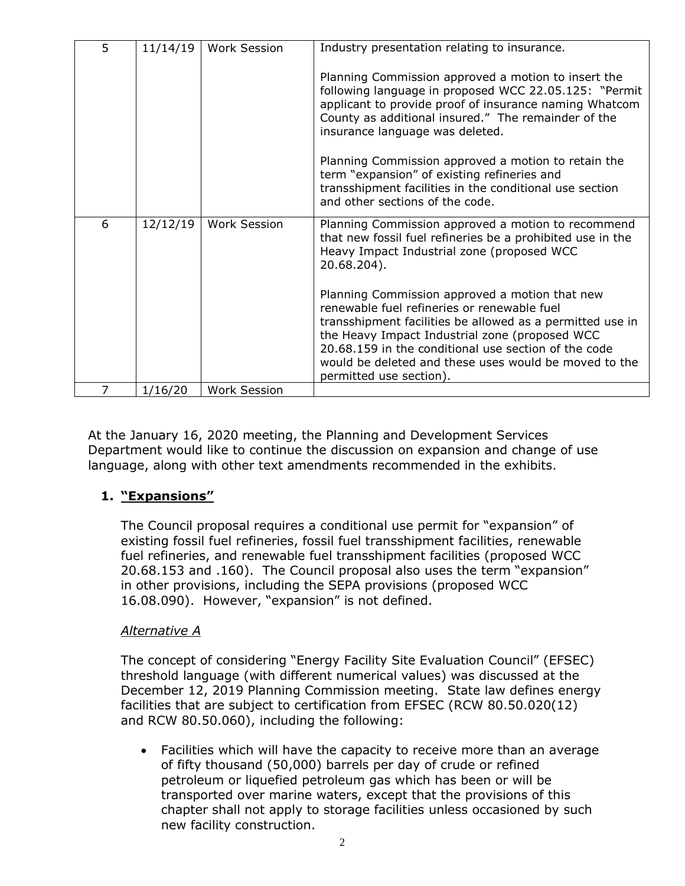| 5 | 11/14/19 | <b>Work Session</b> | Industry presentation relating to insurance.                                                                                                                                                                                                                                                                                                             |
|---|----------|---------------------|----------------------------------------------------------------------------------------------------------------------------------------------------------------------------------------------------------------------------------------------------------------------------------------------------------------------------------------------------------|
|   |          |                     | Planning Commission approved a motion to insert the<br>following language in proposed WCC 22.05.125: "Permit<br>applicant to provide proof of insurance naming Whatcom<br>County as additional insured." The remainder of the<br>insurance language was deleted.                                                                                         |
|   |          |                     | Planning Commission approved a motion to retain the<br>term "expansion" of existing refineries and<br>transshipment facilities in the conditional use section<br>and other sections of the code.                                                                                                                                                         |
| 6 | 12/12/19 | <b>Work Session</b> | Planning Commission approved a motion to recommend<br>that new fossil fuel refineries be a prohibited use in the<br>Heavy Impact Industrial zone (proposed WCC<br>20.68.204).                                                                                                                                                                            |
|   |          |                     | Planning Commission approved a motion that new<br>renewable fuel refineries or renewable fuel<br>transshipment facilities be allowed as a permitted use in<br>the Heavy Impact Industrial zone (proposed WCC<br>20.68.159 in the conditional use section of the code<br>would be deleted and these uses would be moved to the<br>permitted use section). |
| 7 | 1/16/20  | Work Session        |                                                                                                                                                                                                                                                                                                                                                          |

At the January 16, 2020 meeting, the Planning and Development Services Department would like to continue the discussion on expansion and change of use language, along with other text amendments recommended in the exhibits.

## **1. "Expansions"**

The Council proposal requires a conditional use permit for "expansion" of existing fossil fuel refineries, fossil fuel transshipment facilities, renewable fuel refineries, and renewable fuel transshipment facilities (proposed WCC 20.68.153 and .160). The Council proposal also uses the term "expansion" in other provisions, including the SEPA provisions (proposed WCC 16.08.090). However, "expansion" is not defined.

## *Alternative A*

The concept of considering "Energy Facility Site Evaluation Council" (EFSEC) threshold language (with different numerical values) was discussed at the December 12, 2019 Planning Commission meeting. State law defines energy facilities that are subject to certification from EFSEC (RCW 80.50.020(12) and RCW 80.50.060), including the following:

 Facilities which will have the capacity to receive more than an average of fifty thousand (50,000) barrels per day of crude or refined petroleum or liquefied petroleum gas which has been or will be transported over marine waters, except that the provisions of this chapter shall not apply to storage facilities unless occasioned by such new facility construction.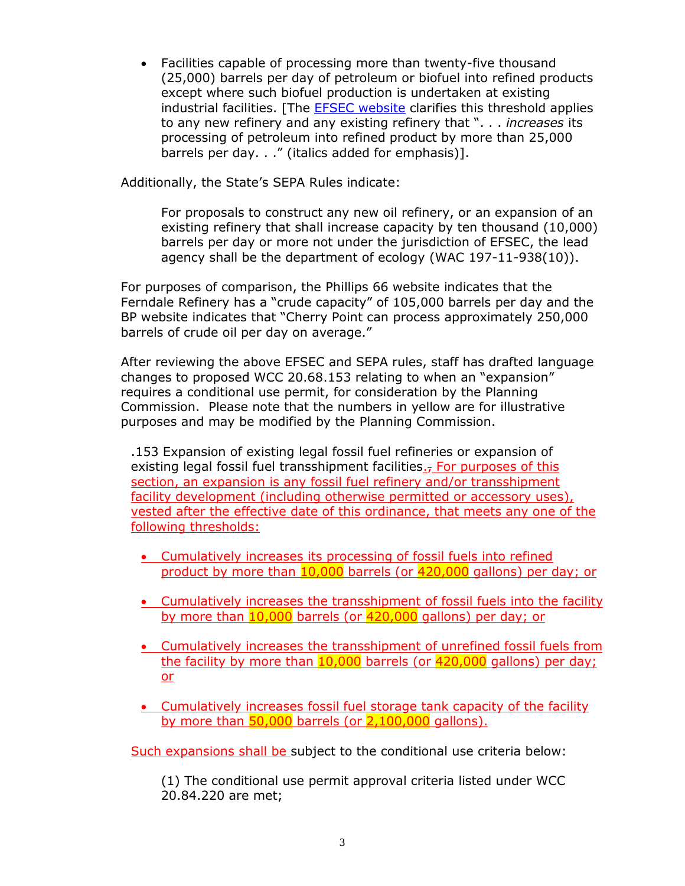Facilities capable of processing more than twenty-five thousand (25,000) barrels per day of petroleum or biofuel into refined products except where such biofuel production is undertaken at existing industrial facilities. [The [EFSEC website](https://www.efsec.wa.gov/about-efsec/certification-process) clarifies this threshold applies to any new refinery and any existing refinery that ". . . *increases* its processing of petroleum into refined product by more than 25,000 barrels per day. . ." (italics added for emphasis)].

Additionally, the State's SEPA Rules indicate:

For proposals to construct any new oil refinery, or an expansion of an existing refinery that shall increase capacity by ten thousand (10,000) barrels per day or more not under the jurisdiction of EFSEC, the lead agency shall be the department of ecology (WAC 197-11-938(10)).

For purposes of comparison, the Phillips 66 website indicates that the Ferndale Refinery has a "crude capacity" of 105,000 barrels per day and the BP website indicates that "Cherry Point can process approximately 250,000 barrels of crude oil per day on average."

After reviewing the above EFSEC and SEPA rules, staff has drafted language changes to proposed WCC 20.68.153 relating to when an "expansion" requires a conditional use permit, for consideration by the Planning Commission. Please note that the numbers in yellow are for illustrative purposes and may be modified by the Planning Commission.

.153 Expansion of existing legal fossil fuel refineries or expansion of existing legal fossil fuel transshipment facilities. $<sub>7</sub>$  For purposes of this</sub> section, an expansion is any fossil fuel refinery and/or transshipment facility development (including otherwise permitted or accessory uses), vested after the effective date of this ordinance, that meets any one of the following thresholds:

- Cumulatively increases its processing of fossil fuels into refined product by more than 10,000 barrels (or 420,000 gallons) per day; or
- Cumulatively increases the transshipment of fossil fuels into the facility by more than 10,000 barrels (or 420,000 gallons) per day; or
- Cumulatively increases the transshipment of unrefined fossil fuels from the facility by more than 10,000 barrels (or 420,000 gallons) per day; or
- **Cumulatively increases fossil fuel storage tank capacity of the facility** by more than  $50,000$  barrels (or  $2,100,000$  gallons).

Such expansions shall be subject to the conditional use criteria below:

(1) The conditional use permit approval criteria listed under WCC 20.84.220 are met;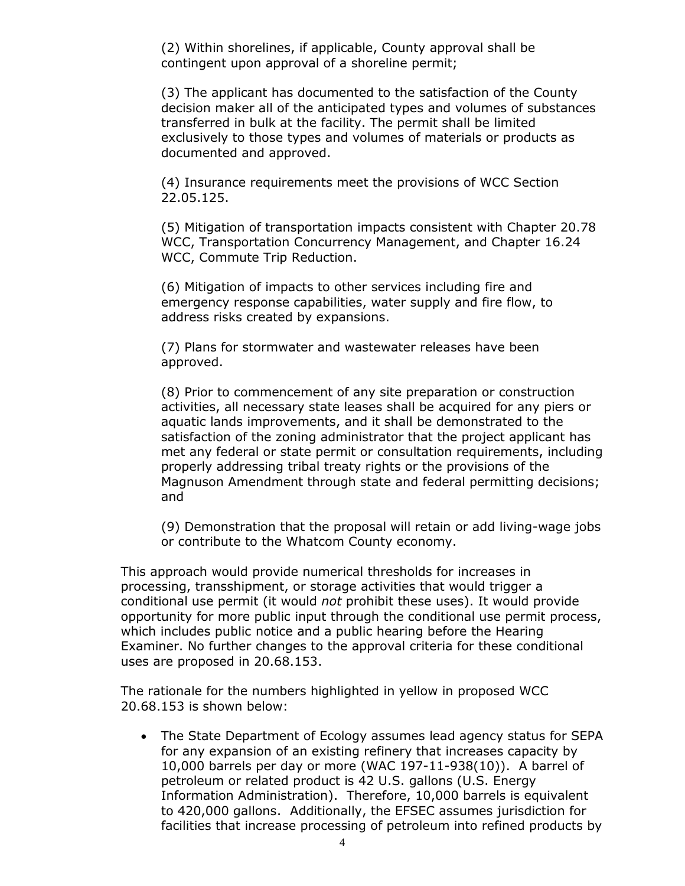(2) Within shorelines, if applicable, County approval shall be contingent upon approval of a shoreline permit;

(3) The applicant has documented to the satisfaction of the County decision maker all of the anticipated types and volumes of substances transferred in bulk at the facility. The permit shall be limited exclusively to those types and volumes of materials or products as documented and approved.

(4) Insurance requirements meet the provisions of WCC Section 22.05.125.

(5) Mitigation of transportation impacts consistent with Chapter 20.78 WCC, Transportation Concurrency Management, and Chapter 16.24 WCC, Commute Trip Reduction.

(6) Mitigation of impacts to other services including fire and emergency response capabilities, water supply and fire flow, to address risks created by expansions.

(7) Plans for stormwater and wastewater releases have been approved.

(8) Prior to commencement of any site preparation or construction activities, all necessary state leases shall be acquired for any piers or aquatic lands improvements, and it shall be demonstrated to the satisfaction of the zoning administrator that the project applicant has met any federal or state permit or consultation requirements, including properly addressing tribal treaty rights or the provisions of the Magnuson Amendment through state and federal permitting decisions; and

(9) Demonstration that the proposal will retain or add living-wage jobs or contribute to the Whatcom County economy.

This approach would provide numerical thresholds for increases in processing, transshipment, or storage activities that would trigger a conditional use permit (it would *not* prohibit these uses). It would provide opportunity for more public input through the conditional use permit process, which includes public notice and a public hearing before the Hearing Examiner. No further changes to the approval criteria for these conditional uses are proposed in 20.68.153.

The rationale for the numbers highlighted in yellow in proposed WCC 20.68.153 is shown below:

 The State Department of Ecology assumes lead agency status for SEPA for any expansion of an existing refinery that increases capacity by 10,000 barrels per day or more (WAC 197-11-938(10)). A barrel of petroleum or related product is 42 U.S. gallons (U.S. Energy Information Administration). Therefore, 10,000 barrels is equivalent to 420,000 gallons. Additionally, the EFSEC assumes jurisdiction for facilities that increase processing of petroleum into refined products by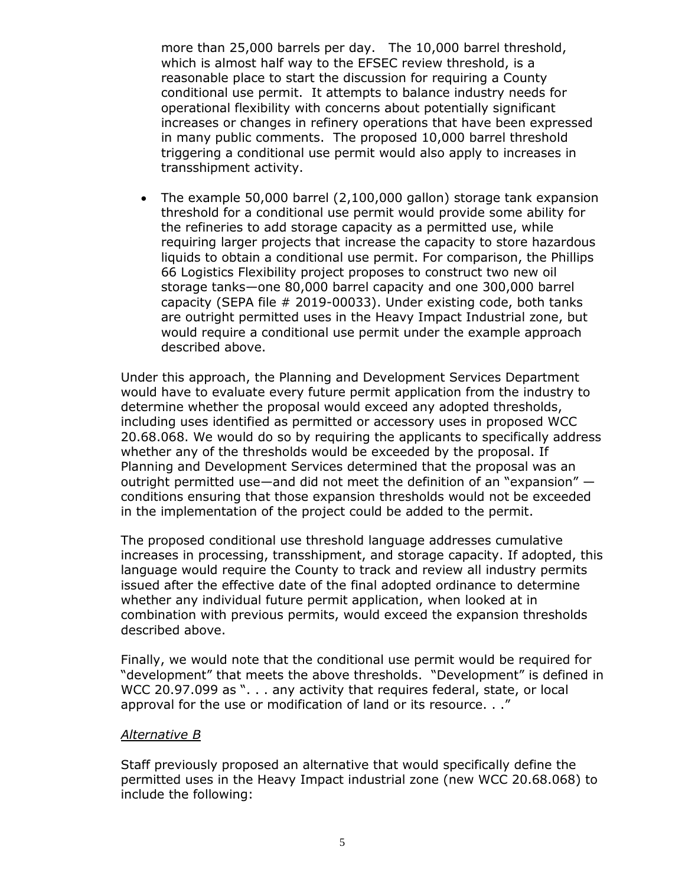more than 25,000 barrels per day. The 10,000 barrel threshold, which is almost half way to the EFSEC review threshold, is a reasonable place to start the discussion for requiring a County conditional use permit. It attempts to balance industry needs for operational flexibility with concerns about potentially significant increases or changes in refinery operations that have been expressed in many public comments. The proposed 10,000 barrel threshold triggering a conditional use permit would also apply to increases in transshipment activity.

 The example 50,000 barrel (2,100,000 gallon) storage tank expansion threshold for a conditional use permit would provide some ability for the refineries to add storage capacity as a permitted use, while requiring larger projects that increase the capacity to store hazardous liquids to obtain a conditional use permit. For comparison, the Phillips 66 Logistics Flexibility project proposes to construct two new oil storage tanks—one 80,000 barrel capacity and one 300,000 barrel capacity (SEPA file # 2019-00033). Under existing code, both tanks are outright permitted uses in the Heavy Impact Industrial zone, but would require a conditional use permit under the example approach described above.

Under this approach, the Planning and Development Services Department would have to evaluate every future permit application from the industry to determine whether the proposal would exceed any adopted thresholds, including uses identified as permitted or accessory uses in proposed WCC 20.68.068. We would do so by requiring the applicants to specifically address whether any of the thresholds would be exceeded by the proposal. If Planning and Development Services determined that the proposal was an outright permitted use—and did not meet the definition of an "expansion" conditions ensuring that those expansion thresholds would not be exceeded in the implementation of the project could be added to the permit.

The proposed conditional use threshold language addresses cumulative increases in processing, transshipment, and storage capacity. If adopted, this language would require the County to track and review all industry permits issued after the effective date of the final adopted ordinance to determine whether any individual future permit application, when looked at in combination with previous permits, would exceed the expansion thresholds described above.

Finally, we would note that the conditional use permit would be required for "development" that meets the above thresholds. "Development" is defined in WCC 20.97.099 as ". . . any activity that requires federal, state, or local approval for the use or modification of land or its resource. . ."

### *Alternative B*

Staff previously proposed an alternative that would specifically define the permitted uses in the Heavy Impact industrial zone (new WCC 20.68.068) to include the following: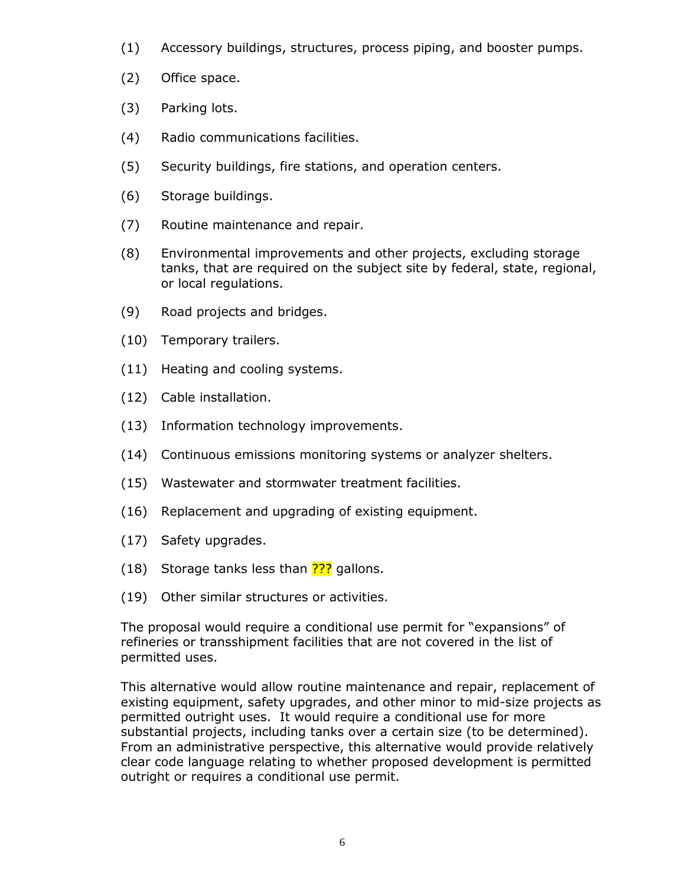- (1) Accessory buildings, structures, process piping, and booster pumps.
- (2) Office space.
- (3) Parking lots.
- (4) Radio communications facilities.
- (5) Security buildings, fire stations, and operation centers.
- (6) Storage buildings.
- (7) Routine maintenance and repair.
- (8) Environmental improvements and other projects, excluding storage tanks, that are required on the subject site by federal, state, regional, or local regulations.
- (9) Road projects and bridges.
- (10) Temporary trailers.
- (11) Heating and cooling systems.
- (12) Cable installation.
- (13) Information technology improvements.
- (14) Continuous emissions monitoring systems or analyzer shelters.
- (15) Wastewater and stormwater treatment facilities.
- (16) Replacement and upgrading of existing equipment.
- (17) Safety upgrades.
- (18) Storage tanks less than  $\frac{222}{18}$  gallons.
- (19) Other similar structures or activities.

The proposal would require a conditional use permit for "expansions" of refineries or transshipment facilities that are not covered in the list of permitted uses.

This alternative would allow routine maintenance and repair, replacement of existing equipment, safety upgrades, and other minor to mid-size projects as permitted outright uses. It would require a conditional use for more substantial projects, including tanks over a certain size (to be determined). From an administrative perspective, this alternative would provide relatively clear code language relating to whether proposed development is permitted outright or requires a conditional use permit.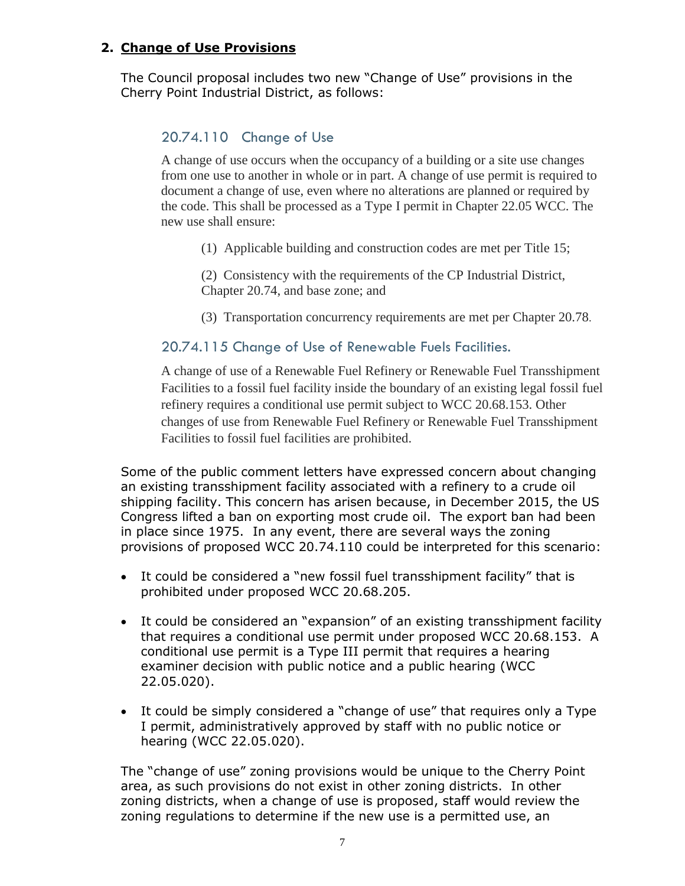### **2. Change of Use Provisions**

The Council proposal includes two new "Change of Use" provisions in the Cherry Point Industrial District, as follows:

# 20.74.110 Change of Use

A change of use occurs when the occupancy of a building or a site use changes from one use to another in whole or in part. A change of use permit is required to document a change of use, even where no alterations are planned or required by the code. This shall be processed as a Type I permit in Chapter 22.05 WCC. The new use shall ensure:

(1) Applicable building and construction codes are met per Title 15;

(2) Consistency with the requirements of the CP Industrial District, Chapter 20.74, and base zone; and

(3) Transportation concurrency requirements are met per Chapter 20.78.

### 20.74.115 Change of Use of Renewable Fuels Facilities.

A change of use of a Renewable Fuel Refinery or Renewable Fuel Transshipment Facilities to a fossil fuel facility inside the boundary of an existing legal fossil fuel refinery requires a conditional use permit subject to WCC 20.68.153. Other changes of use from Renewable Fuel Refinery or Renewable Fuel Transshipment Facilities to fossil fuel facilities are prohibited.

Some of the public comment letters have expressed concern about changing an existing transshipment facility associated with a refinery to a crude oil shipping facility. This concern has arisen because, in December 2015, the US Congress lifted a ban on exporting most crude oil. The export ban had been in place since 1975. In any event, there are several ways the zoning provisions of proposed WCC 20.74.110 could be interpreted for this scenario:

- It could be considered a "new fossil fuel transshipment facility" that is prohibited under proposed WCC 20.68.205.
- It could be considered an "expansion" of an existing transshipment facility that requires a conditional use permit under proposed WCC 20.68.153. A conditional use permit is a Type III permit that requires a hearing examiner decision with public notice and a public hearing (WCC 22.05.020).
- It could be simply considered a "change of use" that requires only a Type I permit, administratively approved by staff with no public notice or hearing (WCC 22.05.020).

The "change of use" zoning provisions would be unique to the Cherry Point area, as such provisions do not exist in other zoning districts. In other zoning districts, when a change of use is proposed, staff would review the zoning regulations to determine if the new use is a permitted use, an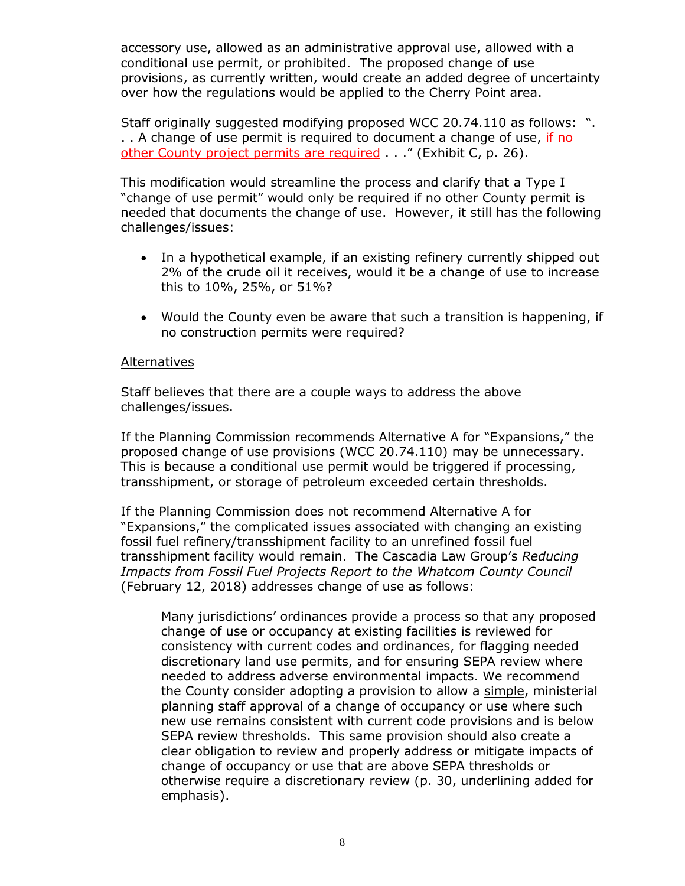accessory use, allowed as an administrative approval use, allowed with a conditional use permit, or prohibited. The proposed change of use provisions, as currently written, would create an added degree of uncertainty over how the regulations would be applied to the Cherry Point area.

Staff originally suggested modifying proposed WCC 20.74.110 as follows: ". . . A change of use permit is required to document a change of use, if no other County project permits are required . . " (Exhibit C, p. 26).

This modification would streamline the process and clarify that a Type I "change of use permit" would only be required if no other County permit is needed that documents the change of use. However, it still has the following challenges/issues:

- In a hypothetical example, if an existing refinery currently shipped out 2% of the crude oil it receives, would it be a change of use to increase this to 10%, 25%, or 51%?
- Would the County even be aware that such a transition is happening, if no construction permits were required?

### Alternatives

Staff believes that there are a couple ways to address the above challenges/issues.

If the Planning Commission recommends Alternative A for "Expansions," the proposed change of use provisions (WCC 20.74.110) may be unnecessary. This is because a conditional use permit would be triggered if processing, transshipment, or storage of petroleum exceeded certain thresholds.

If the Planning Commission does not recommend Alternative A for "Expansions," the complicated issues associated with changing an existing fossil fuel refinery/transshipment facility to an unrefined fossil fuel transshipment facility would remain. The Cascadia Law Group's *Reducing Impacts from Fossil Fuel Projects Report to the Whatcom County Council* (February 12, 2018) addresses change of use as follows:

Many jurisdictions' ordinances provide a process so that any proposed change of use or occupancy at existing facilities is reviewed for consistency with current codes and ordinances, for flagging needed discretionary land use permits, and for ensuring SEPA review where needed to address adverse environmental impacts. We recommend the County consider adopting a provision to allow a simple, ministerial planning staff approval of a change of occupancy or use where such new use remains consistent with current code provisions and is below SEPA review thresholds. This same provision should also create a clear obligation to review and properly address or mitigate impacts of change of occupancy or use that are above SEPA thresholds or otherwise require a discretionary review (p. 30, underlining added for emphasis).